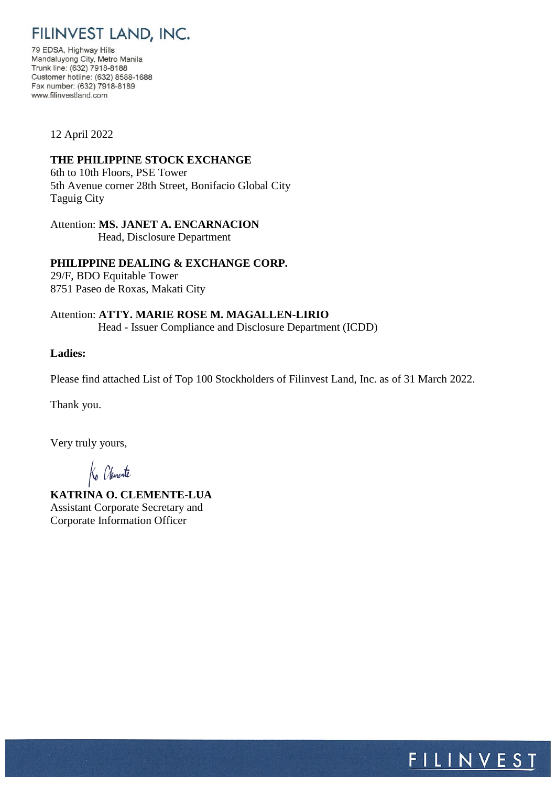FILINVEST LAND, INC.

79 EDSA, Highway Hills Mandaluyong City, Metro Manila Trunk line: (632) 7918-8188 Customer hotline: (632) 8588-1688 Fax number: (632) 7918-8189 www.filinvestland.com

12 April 2022

## **THE PHILIPPINE STOCK EXCHANGE**

6th to 10th Floors, PSE Tower 5th Avenue corner 28th Street, Bonifacio Global City Taguig City

## Attention: **MS. JANET A. ENCARNACION**

Head, Disclosure Department

**PHILIPPINE DEALING & EXCHANGE CORP.** 29/F, BDO Equitable Tower 8751 Paseo de Roxas, Makati City

Attention: **ATTY. MARIE ROSE M. MAGALLEN-LIRIO** Head - Issuer Compliance and Disclosure Department (ICDD)

## **Ladies:**

Please find attached List of Top 100 Stockholders of Filinvest Land, Inc. as of 31 March 2022.

Thank you.

Very truly yours,

Ko Chemente

**KATRINA O. CLEMENTE-LUA** Assistant Corporate Secretary and Corporate Information Officer

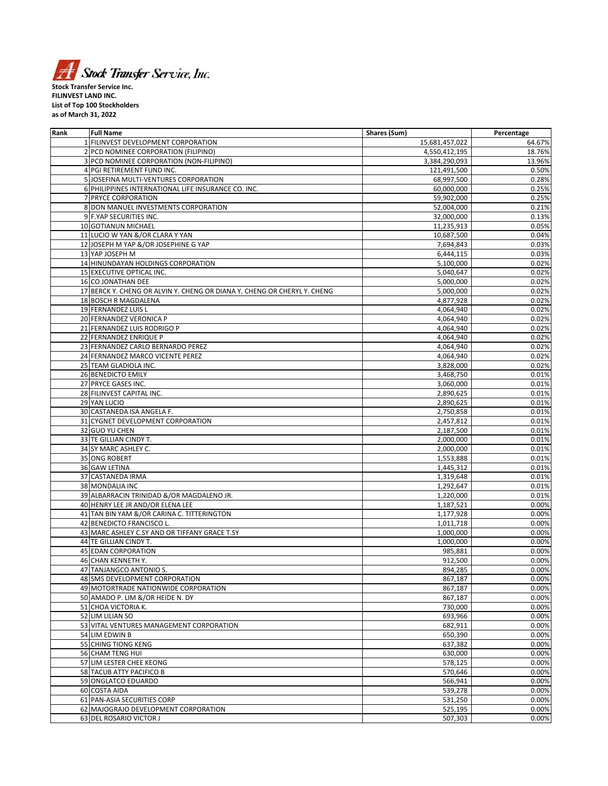

**FILINVEST LAND INC. List of Top 100 Stockholders as of March 31, 2022**

| Rank | <b>Full Name</b>                                                         | Shares (Sum)   | Percentage |
|------|--------------------------------------------------------------------------|----------------|------------|
|      | 1 FILINVEST DEVELOPMENT CORPORATION                                      | 15,681,457,022 | 64.67%     |
|      | 2 PCD NOMINEE CORPORATION (FILIPINO)                                     | 4,550,412,195  | 18.76%     |
|      | 3 PCD NOMINEE CORPORATION (NON-FILIPINO)                                 | 3,384,290,093  | 13.96%     |
|      | 4 PGI RETIREMENT FUND INC.                                               | 121,491,500    | 0.50%      |
|      | 5 JOSEFINA MULTI-VENTURES CORPORATION                                    |                | 0.28%      |
|      |                                                                          | 68,997,500     |            |
|      | 6 PHILIPPINES INTERNATIONAL LIFE INSURANCE CO. INC.                      | 60,000,000     | 0.25%      |
| 7    | <b>PRYCE CORPORATION</b>                                                 | 59,902,000     | 0.25%      |
|      | 8 DON MANUEL INVESTMENTS CORPORATION                                     | 52,004,000     | 0.21%      |
|      | 9 F.YAP SECURITIES INC.                                                  | 32,000,000     | 0.13%      |
|      | 10 GOTIANUN MICHAEL                                                      | 11,235,913     | 0.05%      |
|      | 11 LUCIO W YAN &/OR CLARA Y YAN                                          | 10,687,500     | 0.04%      |
|      | 12 JOSEPH M YAP &/OR JOSEPHINE G YAP                                     | 7,694,843      | 0.03%      |
|      | 13 YAP JOSEPH M                                                          | 6,444,115      | 0.03%      |
|      | 14 HINUNDAYAN HOLDINGS CORPORATION                                       | 5,100,000      | 0.02%      |
|      | 15 EXECUTIVE OPTICAL INC.                                                |                | 0.02%      |
|      |                                                                          | 5,040,647      |            |
|      | 16 CO JONATHAN DEE                                                       | 5,000,000      | 0.02%      |
|      | 17 BERCK Y. CHENG OR ALVIN Y. CHENG OR DIANA Y. CHENG OR CHERYL Y. CHENG | 5,000,000      | 0.02%      |
|      | 18 BOSCH R MAGDALENA                                                     | 4,877,928      | 0.02%      |
|      | 19 FERNANDEZ LUIS L                                                      | 4,064,940      | 0.02%      |
|      | 20 FERNANDEZ VERONICA P                                                  | 4,064,940      | 0.02%      |
|      | 21 FERNANDEZ LUIS RODRIGO P                                              | 4,064,940      | 0.02%      |
|      | 22 FERNANDEZ ENRIQUE P                                                   | 4,064,940      | 0.02%      |
|      | 23 FERNANDEZ CARLO BERNARDO PEREZ                                        | 4,064,940      | 0.02%      |
|      | 24 FERNANDEZ MARCO VICENTE PEREZ                                         | 4,064,940      | 0.02%      |
|      |                                                                          |                |            |
|      | 25 TEAM GLADIOLA INC.                                                    | 3,828,000      | 0.02%      |
|      | 26 BENEDICTO EMILY                                                       | 3,468,750      | 0.01%      |
|      | 27 PRYCE GASES INC.                                                      | 3,060,000      | 0.01%      |
|      | 28 FILINVEST CAPITAL INC.                                                | 2,890,625      | 0.01%      |
|      | 29 YAN LUCIO                                                             | 2,890,625      | 0.01%      |
|      | 30 CASTANEDA ISA ANGELA F.                                               | 2,750,858      | 0.01%      |
|      | 31 CYGNET DEVELOPMENT CORPORATION                                        | 2,457,812      | 0.01%      |
|      | 32 GUO YU CHEN                                                           | 2,187,500      | 0.01%      |
|      | 33 TE GILLIAN CINDY T.                                                   | 2,000,000      | 0.01%      |
|      | 34 SY MARC ASHLEY C.                                                     | 2,000,000      | 0.01%      |
|      | 35 ONG ROBERT                                                            |                |            |
|      |                                                                          | 1,553,888      | 0.01%      |
|      | 36 GAW LETINA                                                            | 1,445,312      | 0.01%      |
|      | 37 CASTANEDA IRMA                                                        | 1,319,648      | 0.01%      |
|      | 38 MONDALIA INC                                                          | 1,292,647      | 0.01%      |
|      | 39 ALBARRACIN TRINIDAD &/OR MAGDALENO JR.                                | 1,220,000      | 0.01%      |
|      | 40 HENRY LEE JR AND/OR ELENA LEE                                         | 1,187,521      | 0.00%      |
|      | 41 TAN BIN YAM &/OR CARINA C. TITTERINGTON                               | 1,177,928      | 0.00%      |
|      | 42 BENEDICTO FRANCISCO L.                                                | 1,011,718      | 0.00%      |
|      | 43 MARC ASHLEY C.SY AND OR TIFFANY GRACE T.SY                            | 1,000,000      | 0.00%      |
|      | 44 TE GILLIAN CINDY T.                                                   | 1,000,000      | 0.00%      |
|      |                                                                          |                |            |
|      | <b>45 EDAN CORPORATION</b>                                               | 985,881        | 0.00%      |
|      | <b>46 CHAN KENNETH Y.</b>                                                | 912,500        | 0.00%      |
|      | 47 TANJANGCO ANTONIO S.                                                  | 894,285        | 0.00%      |
|      | 48 SMS DEVELOPMENT CORPORATION                                           | 867,187        | 0.00%      |
|      | 49 MOTORTRADE NATIONWIDE CORPORATION                                     | 867,187        | 0.00%      |
|      | 50 AMADO P. LIM &/OR HEIDE N. DY                                         | 867,187        | 0.00%      |
|      | 51 CHOA VICTORIA K.                                                      | 730,000        | 0.00%      |
|      | 52 LIM LILIAN SO                                                         | 693,966        | 0.00%      |
|      | 53 VITAL VENTURES MANAGEMENT CORPORATION                                 | 682,911        | 0.00%      |
|      | 54 LIM EDWIN B                                                           | 650,390        | 0.00%      |
|      |                                                                          |                |            |
|      | 55 CHING TIONG KENG                                                      | 637,382        | 0.00%      |
|      | 56 CHAM TENG HUI                                                         | 630,000        | 0.00%      |
|      | 57 LIM LESTER CHEE KEONG                                                 | 578,125        | 0.00%      |
|      | 58 TACUB ATTY PACIFICO B                                                 | 570,646        | 0.00%      |
|      | 59 ONGLATCO EDUARDO                                                      | 566,941        | 0.00%      |
|      | 60 COSTA AIDA                                                            | 539,278        | 0.00%      |
|      | 61 PAN-ASIA SECURITIES CORP                                              | 531,250        | 0.00%      |
|      | 62 MAJOGRAJO DEVELOPMENT CORPORATION                                     | 525,195        | 0.00%      |
|      | 63 DEL ROSARIO VICTOR J                                                  | 507,303        | 0.00%      |
|      |                                                                          |                |            |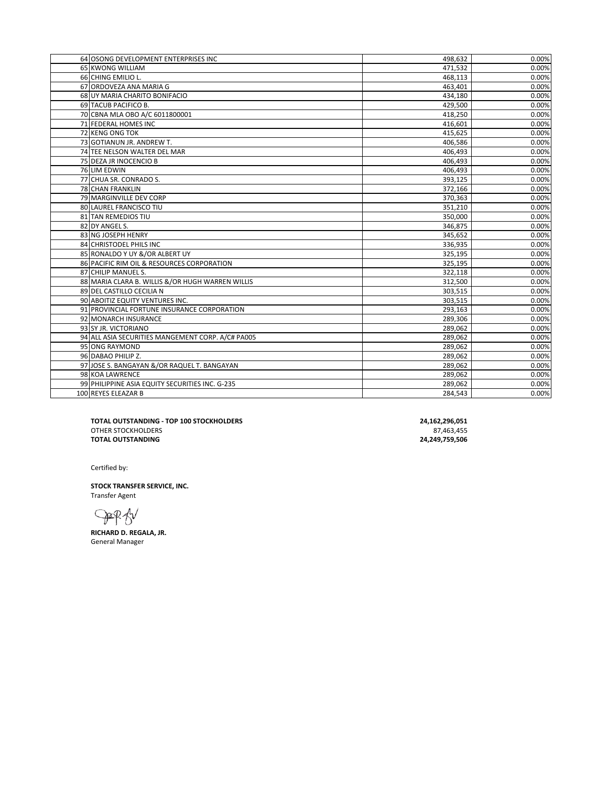| 64 OSONG DEVELOPMENT ENTERPRISES INC              |                    |                |
|---------------------------------------------------|--------------------|----------------|
|                                                   | 498,632            | 0.00%<br>0.00% |
| 65 KWONG WILLIAM<br>66 CHING EMILIO L.            | 471,532<br>468,113 | 0.00%          |
| 67 ORDOVEZA ANA MARIA G                           | 463,401            | 0.00%          |
| 68 UY MARIA CHARITO BONIFACIO                     | 434,180            | 0.00%          |
| 69 TACUB PACIFICO B.                              | 429,500            | 0.00%          |
| 70 CBNA MLA OBO A/C 6011800001                    | 418,250            | 0.00%          |
| 71 FEDERAL HOMES INC                              | 416,601            | 0.00%          |
| 72 KENG ONG TOK                                   | 415,625            | 0.00%          |
| 73 GOTIANUN JR. ANDREW T.                         | 406,586            | 0.00%          |
| 74 TEE NELSON WALTER DEL MAR                      | 406,493            | 0.00%          |
| 75 DEZA JR INOCENCIO B                            | 406,493            | 0.00%          |
| 76 LIM EDWIN                                      | 406,493            | 0.00%          |
| 77 CHUA SR. CONRADO S.                            | 393,125            | 0.00%          |
| <b>78 CHAN FRANKLIN</b>                           | 372,166            | 0.00%          |
| 79 MARGINVILLE DEV CORP                           | 370,363            | 0.00%          |
| 80 LAUREL FRANCISCO TIU                           | 351,210            | 0.00%          |
| 81 TAN REMEDIOS TIU                               | 350,000            | 0.00%          |
| 82 DY ANGEL S.                                    | 346,875            | 0.00%          |
| 83 NG JOSEPH HENRY                                | 345,652            | 0.00%          |
| 84 CHRISTODEL PHILS INC                           | 336,935            | 0.00%          |
| 85 RONALDO Y UY &/OR ALBERT UY                    | 325,195            | 0.00%          |
| 86 PACIFIC RIM OIL & RESOURCES CORPORATION        | 325,195            | 0.00%          |
| 87 CHILIP MANUEL S.                               | 322,118            | 0.00%          |
| 88 MARIA CLARA B. WILLIS &/OR HUGH WARREN WILLIS  | 312,500            | 0.00%          |
| 89 DEL CASTILLO CECILIA N                         | 303,515            | 0.00%          |
| 90 ABOITIZ EQUITY VENTURES INC.                   | 303,515            | 0.00%          |
| 91 PROVINCIAL FORTUNE INSURANCE CORPORATION       | 293,163            | 0.00%          |
| 92 MONARCH INSURANCE                              | 289,306            | 0.00%          |
| 93 SY JR. VICTORIANO                              | 289,062            | 0.00%          |
| 94 ALL ASIA SECURITIES MANGEMENT CORP. A/C# PA005 | 289,062            | 0.00%          |
| 95 ONG RAYMOND                                    | 289,062            | 0.00%          |
| 96 DABAO PHILIP Z.                                | 289,062            | 0.00%          |
| 97 JOSE S. BANGAYAN &/OR RAQUEL T. BANGAYAN       | 289,062            | 0.00%          |
| 98 KOA LAWRENCE                                   | 289,062            | 0.00%          |
| 99 PHILIPPINE ASIA EQUITY SECURITIES INC. G-235   | 289,062            | 0.00%          |
| 100 REYES ELEAZAR B                               | 284,543            | 0.00%          |
|                                                   |                    |                |

**TOTAL OUTSTANDING - TOP 100 STOCKHOLDERS** 24,162,296,051<br>
OTHER STOCKHOLDERS 27,463,455<br> **TOTAL OUTSTANDING** 24,249,759,506 OTHER STOCKHOLDERS **TOTAL OUTSTANDING** 

Certified by:

**STOCK TRANSFER SERVICE, INC.** Transfer Agent

DER BV

**RICHARD D. REGALA, JR.** General Manager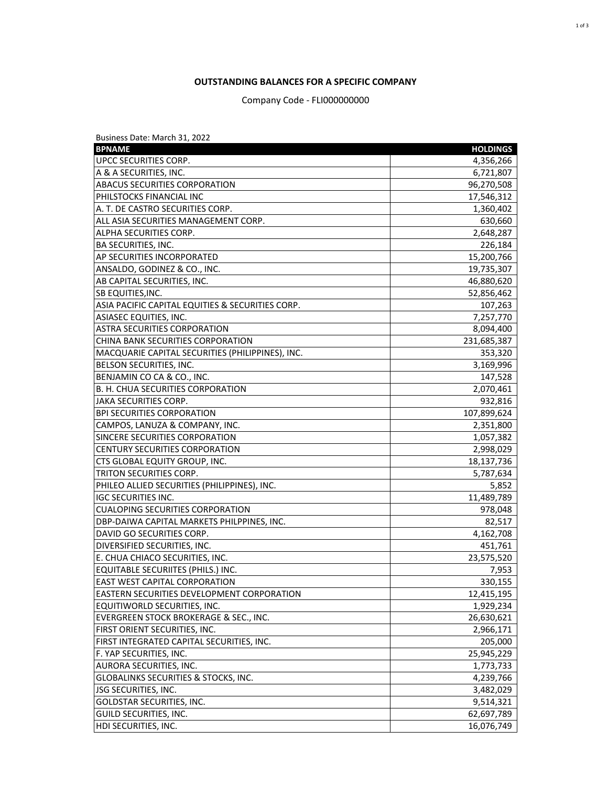## **OUTSTANDING BALANCES FOR A SPECIFIC COMPANY**

Company Code - FLI000000000

| Business Date: March 31, 2022                    |                 |
|--------------------------------------------------|-----------------|
| <b>BPNAME</b>                                    | <b>HOLDINGS</b> |
| UPCC SECURITIES CORP.                            | 4,356,266       |
| A & A SECURITIES, INC.                           | 6,721,807       |
| <b>ABACUS SECURITIES CORPORATION</b>             | 96,270,508      |
| PHILSTOCKS FINANCIAL INC                         | 17,546,312      |
| A. T. DE CASTRO SECURITIES CORP.                 | 1,360,402       |
| ALL ASIA SECURITIES MANAGEMENT CORP.             | 630,660         |
| ALPHA SECURITIES CORP.                           | 2,648,287       |
| <b>BA SECURITIES, INC.</b>                       | 226,184         |
| AP SECURITIES INCORPORATED                       | 15,200,766      |
| ANSALDO, GODINEZ & CO., INC.                     | 19,735,307      |
| AB CAPITAL SECURITIES, INC.                      | 46,880,620      |
| <b>SB EQUITIES, INC.</b>                         | 52,856,462      |
| ASIA PACIFIC CAPITAL EQUITIES & SECURITIES CORP. | 107,263         |
| <b>ASIASEC EQUITIES, INC.</b>                    | 7,257,770       |
| <b>ASTRA SECURITIES CORPORATION</b>              | 8,094,400       |
| CHINA BANK SECURITIES CORPORATION                | 231,685,387     |
| MACQUARIE CAPITAL SECURITIES (PHILIPPINES), INC. | 353,320         |
| BELSON SECURITIES, INC.                          | 3,169,996       |
| BENJAMIN CO CA & CO., INC.                       | 147,528         |
| B. H. CHUA SECURITIES CORPORATION                | 2,070,461       |
| <b>JAKA SECURITIES CORP.</b>                     | 932,816         |
| <b>BPI SECURITIES CORPORATION</b>                | 107,899,624     |
| CAMPOS, LANUZA & COMPANY, INC.                   | 2,351,800       |
| SINCERE SECURITIES CORPORATION                   | 1,057,382       |
| CENTURY SECURITIES CORPORATION                   | 2,998,029       |
| CTS GLOBAL EQUITY GROUP, INC.                    | 18,137,736      |
| TRITON SECURITIES CORP.                          | 5,787,634       |
| PHILEO ALLIED SECURITIES (PHILIPPINES), INC.     | 5,852           |
| <b>IGC SECURITIES INC.</b>                       | 11,489,789      |
| <b>CUALOPING SECURITIES CORPORATION</b>          | 978,048         |
| DBP-DAIWA CAPITAL MARKETS PHILPPINES, INC.       | 82,517          |
| DAVID GO SECURITIES CORP.                        | 4,162,708       |
| DIVERSIFIED SECURITIES, INC.                     | 451,761         |
| E. CHUA CHIACO SECURITIES, INC.                  | 23,575,520      |
| <b>EQUITABLE SECURIITES (PHILS.) INC.</b>        | 7,953           |
| EAST WEST CAPITAL CORPORATION                    | 330,155         |
| EASTERN SECURITIES DEVELOPMENT CORPORATION       | 12,415,195      |
| EQUITIWORLD SECURITIES, INC.                     | 1,929,234       |
| EVERGREEN STOCK BROKERAGE & SEC., INC.           | 26,630,621      |
| FIRST ORIENT SECURITIES, INC.                    | 2,966,171       |
| FIRST INTEGRATED CAPITAL SECURITIES, INC.        | 205,000         |
| F. YAP SECURITIES, INC.                          | 25,945,229      |
| AURORA SECURITIES, INC.                          | 1,773,733       |
| <b>GLOBALINKS SECURITIES &amp; STOCKS, INC.</b>  | 4,239,766       |
| JSG SECURITIES, INC.                             | 3,482,029       |
| GOLDSTAR SECURITIES, INC.                        | 9,514,321       |
| <b>GUILD SECURITIES, INC.</b>                    | 62,697,789      |
| HDI SECURITIES, INC.                             | 16,076,749      |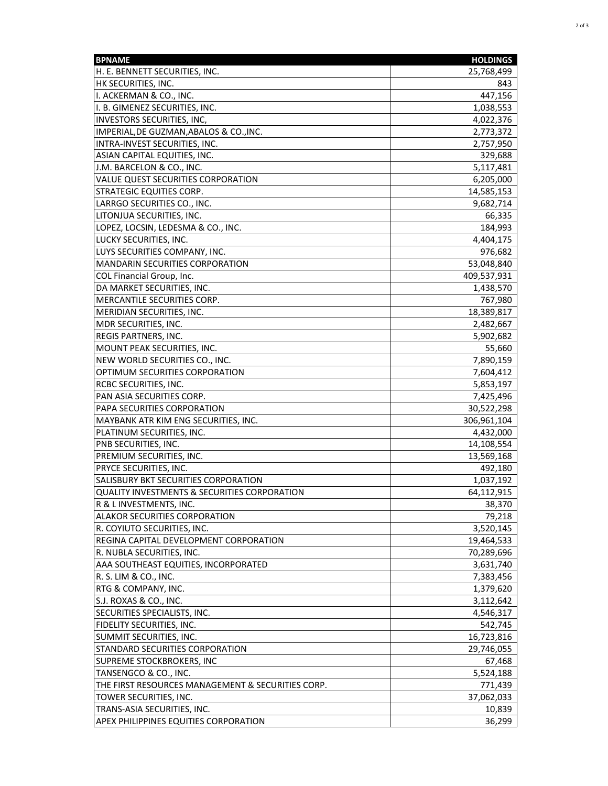| <b>BPNAME</b>                                            | <b>HOLDINGS</b> |
|----------------------------------------------------------|-----------------|
| H. E. BENNETT SECURITIES, INC.                           | 25,768,499      |
| HK SECURITIES, INC.                                      | 843             |
| II. ACKERMAN & CO., INC.                                 | 447,156         |
| I. B. GIMENEZ SECURITIES, INC.                           | 1,038,553       |
| INVESTORS SECURITIES, INC,                               | 4,022,376       |
| IMPERIAL, DE GUZMAN, ABALOS & CO., INC.                  | 2,773,372       |
| INTRA-INVEST SECURITIES, INC.                            | 2,757,950       |
| ASIAN CAPITAL EQUITIES, INC.                             | 329,688         |
| J.M. BARCELON & CO., INC.                                | 5,117,481       |
| VALUE QUEST SECURITIES CORPORATION                       | 6,205,000       |
| <b>STRATEGIC EQUITIES CORP.</b>                          | 14,585,153      |
| LARRGO SECURITIES CO., INC.                              | 9,682,714       |
| LITONJUA SECURITIES, INC.                                | 66,335          |
| LOPEZ, LOCSIN, LEDESMA & CO., INC.                       | 184,993         |
| LUCKY SECURITIES, INC.                                   | 4,404,175       |
| LUYS SECURITIES COMPANY, INC.                            | 976,682         |
| <b>MANDARIN SECURITIES CORPORATION</b>                   | 53,048,840      |
| COL Financial Group, Inc.                                | 409,537,931     |
| DA MARKET SECURITIES, INC.                               | 1,438,570       |
| MERCANTILE SECURITIES CORP.                              | 767,980         |
| MERIDIAN SECURITIES, INC.                                | 18,389,817      |
| MDR SECURITIES, INC.                                     | 2,482,667       |
| REGIS PARTNERS, INC.                                     | 5,902,682       |
| MOUNT PEAK SECURITIES, INC.                              | 55,660          |
| NEW WORLD SECURITIES CO., INC.                           | 7,890,159       |
| OPTIMUM SECURITIES CORPORATION                           | 7,604,412       |
| RCBC SECURITIES, INC.                                    | 5,853,197       |
| PAN ASIA SECURITIES CORP.                                | 7,425,496       |
| PAPA SECURITIES CORPORATION                              | 30,522,298      |
| MAYBANK ATR KIM ENG SECURITIES, INC.                     | 306,961,104     |
| PLATINUM SECURITIES, INC.                                | 4,432,000       |
| PNB SECURITIES, INC.                                     | 14,108,554      |
| PREMIUM SECURITIES, INC.                                 | 13,569,168      |
| PRYCE SECURITIES, INC.                                   | 492,180         |
| SALISBURY BKT SECURITIES CORPORATION                     | 1,037,192       |
| QUALITY INVESTMENTS & SECURITIES CORPORATION             | 64,112,915      |
|                                                          | 38,370          |
| R & L INVESTMENTS, INC.<br>ALAKOR SECURITIES CORPORATION | 79,218          |
| R. COYIUTO SECURITIES, INC.                              | 3,520,145       |
| REGINA CAPITAL DEVELOPMENT CORPORATION                   | 19,464,533      |
| R. NUBLA SECURITIES, INC.                                | 70,289,696      |
|                                                          |                 |
| AAA SOUTHEAST EQUITIES, INCORPORATED                     | 3,631,740       |
| R. S. LIM & CO., INC.<br>RTG & COMPANY, INC.             | 7,383,456       |
|                                                          | 1,379,620       |
| S.J. ROXAS & CO., INC.                                   | 3,112,642       |
| SECURITIES SPECIALISTS, INC.                             | 4,546,317       |
| FIDELITY SECURITIES, INC.                                | 542,745         |
| SUMMIT SECURITIES, INC.                                  | 16,723,816      |
| STANDARD SECURITIES CORPORATION                          | 29,746,055      |
| SUPREME STOCKBROKERS, INC                                | 67,468          |
| TANSENGCO & CO., INC.                                    | 5,524,188       |
| THE FIRST RESOURCES MANAGEMENT & SECURITIES CORP.        | 771,439         |
| TOWER SECURITIES, INC.                                   | 37,062,033      |
| TRANS-ASIA SECURITIES, INC.                              | 10,839          |
| <b>APEX PHILIPPINES EQUITIES CORPORATION</b>             | 36,299          |